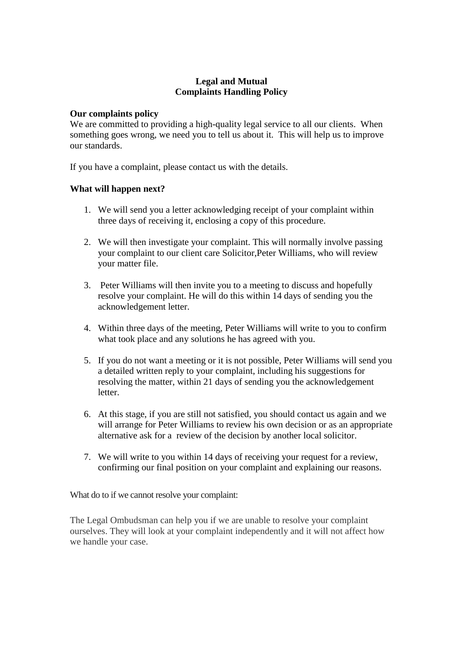## **Legal and Mutual Complaints Handling Policy**

## **Our complaints policy**

We are committed to providing a high-quality legal service to all our clients. When something goes wrong, we need you to tell us about it. This will help us to improve our standards.

If you have a complaint, please contact us with the details.

## **What will happen next?**

- 1. We will send you a letter acknowledging receipt of your complaint within three days of receiving it, enclosing a copy of this procedure.
- 2. We will then investigate your complaint. This will normally involve passing your complaint to our client care Solicitor,Peter Williams, who will review your matter file.
- 3. Peter Williams will then invite you to a meeting to discuss and hopefully resolve your complaint. He will do this within 14 days of sending you the acknowledgement letter.
- 4. Within three days of the meeting, Peter Williams will write to you to confirm what took place and any solutions he has agreed with you.
- 5. If you do not want a meeting or it is not possible, Peter Williams will send you a detailed written reply to your complaint, including his suggestions for resolving the matter, within 21 days of sending you the acknowledgement letter.
- 6. At this stage, if you are still not satisfied, you should contact us again and we will arrange for Peter Williams to review his own decision or as an appropriate alternative ask for a review of the decision by another local solicitor.
- 7. We will write to you within 14 days of receiving your request for a review, confirming our final position on your complaint and explaining our reasons.

What do to if we cannot resolve your complaint:

The Legal Ombudsman can help you if we are unable to resolve your complaint ourselves. They will look at your complaint independently and it will not affect how we handle your case.